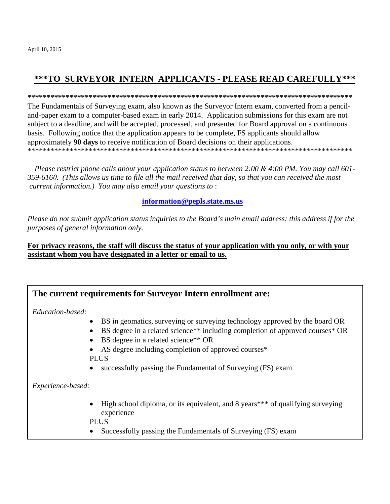# \*\*\*TO SURVEYOR INTERN APPLICANTS - PLEASE READ CAREFULLY\*\*\*

#### 

The Fundamentals of Surveying exam, also known as the Surveyor Intern exam, converted from a penciland-paper exam to a computer-based exam in early 2014. Application submissions for this exam are not subject to a deadline, and will be accepted, processed, and presented for Board approval on a continuous basis. Following notice that the application appears to be complete, FS applicants should allow approximately 90 days to receive notification of Board decisions on their applications. 

Please restrict phone calls about your application status to between 2:00 & 4:00 PM. You may call 601-359-6160. (This allows us time to file all the mail received that day, so that you can received the most current information.) You may also email your questions to:

### information@pepls.state.ms.us

Please do not submit application status inquiries to the Board's main email address; this address if for the purposes of general information only.

### For privacy reasons, the staff will discuss the status of your application with you only, or with your assistant whom you have designated in a letter or email to us.

## The current requirements for Surveyor Intern enrollment are:

Education-based:

- BS in geomatics, surveying or surveying technology approved by the board OR
- BS degree in a related science\*\* including completion of approved courses\* OR
- $\bullet$  BS degree in a related science\*\* OR
- AS degree including completion of approved courses\* **PLUS**
- successfully passing the Fundamental of Surveying (FS) exam

Experience-based:

- High school diploma, or its equivalent, and 8 years\*\*\* of qualifying surveying experience
- **PLUS**
- Successfully passing the Fundamentals of Surveying (FS) exam  $\bullet$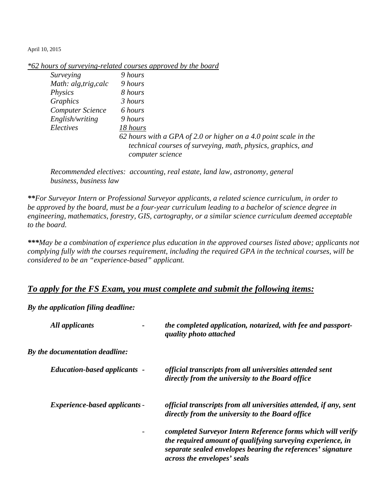| *62 hours of surveying-related courses approved by the board |  |  |  |  |  |
|--------------------------------------------------------------|--|--|--|--|--|
|                                                              |  |  |  |  |  |

| Surveying               | 9 hours                                                                          |
|-------------------------|----------------------------------------------------------------------------------|
| Math: alg, trig, calc   | 9 hours                                                                          |
| Physics                 | 8 hours                                                                          |
| Graphics                | 3 hours                                                                          |
| <b>Computer Science</b> | 6 hours                                                                          |
| English/writing         | 9 hours                                                                          |
| Electives               | 18 hours                                                                         |
|                         | 62 hours with a GPA of 2.0 or higher on a 4.0 point scale in the                 |
|                         | technical courses of surveying, math, physics, graphics, and<br>computer science |

*Recommended electives: accounting, real estate, land law, astronomy, general business, business law* 

*\*\*For Surveyor Intern or Professional Surveyor applicants, a related science curriculum, in order to be approved by the board, must be a four-year curriculum leading to a bachelor of science degree in engineering, mathematics, forestry, GIS, cartography, or a similar science curriculum deemed acceptable to the board.* 

*\*\*\*May be a combination of experience plus education in the approved courses listed above; applicants not complying fully with the courses requirement, including the required GPA in the technical courses, will be considered to be an "experience-based" applicant.* 

## *To apply for the FS Exam, you must complete and submit the following items:*

*By the application filing deadline:* 

| All applicants                       | the completed application, notarized, with fee and passport-<br>quality photo attached                                                                                                                                  |
|--------------------------------------|-------------------------------------------------------------------------------------------------------------------------------------------------------------------------------------------------------------------------|
| By the documentation deadline:       |                                                                                                                                                                                                                         |
| <b>Education-based applicants -</b>  | official transcripts from all universities attended sent<br>directly from the university to the Board office                                                                                                            |
| <i>Experience-based applicants -</i> | official transcripts from all universities attended, if any, sent<br>directly from the university to the Board office                                                                                                   |
|                                      | completed Surveyor Intern Reference forms which will verify<br>the required amount of qualifying surveying experience, in<br>separate sealed envelopes bearing the references' signature<br>across the envelopes' seals |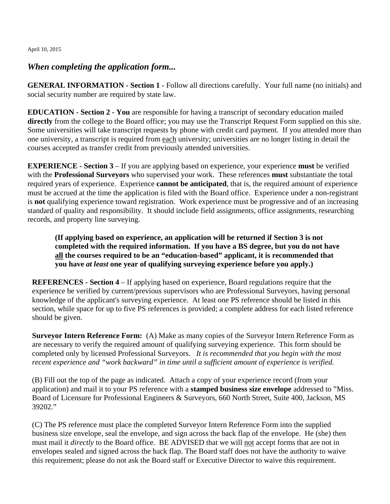### *When completing the application form...*

**GENERAL INFORMATION - Section 1** - Follow all directions carefully. Your full name (no initials) and social security number are required by state law.

**EDUCATION - Section 2 - You** are responsible for having a transcript of secondary education mailed **directly** from the college to the Board office; you may use the Transcript Request Form supplied on this site. Some universities will take transcript requests by phone with credit card payment. If you attended more than one university, a transcript is required from each university; universities are no longer listing in detail the courses accepted as transfer credit from previously attended universities.

**EXPERIENCE - Section 3** – If you are applying based on experience, your experience **must** be verified with the **Professional Surveyors** who supervised your work. These references **must** substantiate the total required years of experience. Experience **cannot be anticipated**, that is, the required amount of experience must be accrued at the time the application is filed with the Board office. Experience under a non-registrant is **not** qualifying experience toward registration. Work experience must be progressive and of an increasing standard of quality and responsibility. It should include field assignments, office assignments, researching records, and property line surveying.

**(If applying based on experience, an application will be returned if Section 3 is not completed with the required information. If you have a BS degree, but you do not have all the courses required to be an "education-based" applicant, it is recommended that you have** *at least* **one year of qualifying surveying experience before you apply.)** 

**REFERENCES - Section 4** – If applying based on experience, Board regulations require that the experience be verified by current/previous supervisors who are Professional Surveyors, having personal knowledge of the applicant's surveying experience. At least one PS reference should be listed in this section, while space for up to five PS references is provided; a complete address for each listed reference should be given.

**Surveyor Intern Reference Form:** (A) Make as many copies of the Surveyor Intern Reference Form as are necessary to verify the required amount of qualifying surveying experience. This form should be completed only by licensed Professional Surveyors. *It is recommended that you begin with the most recent experience and "work backward" in time until a sufficient amount of experience is verified.* 

(B) Fill out the top of the page as indicated. Attach a copy of your experience record (from your application) and mail it to your PS reference with a **stamped business size envelope** addressed to "Miss. Board of Licensure for Professional Engineers & Surveyors, 660 North Street, Suite 400, Jackson, MS 39202."

(C) The PS reference must place the completed Surveyor Intern Reference Form into the supplied business size envelope, seal the envelope, and sign across the back flap of the envelope. He (she) then must mail it *directly* to the Board office. BE ADVISED that we will not accept forms that are not in envelopes sealed and signed across the back flap. The Board staff does not have the authority to waive this requirement; please do not ask the Board staff or Executive Director to waive this requirement.